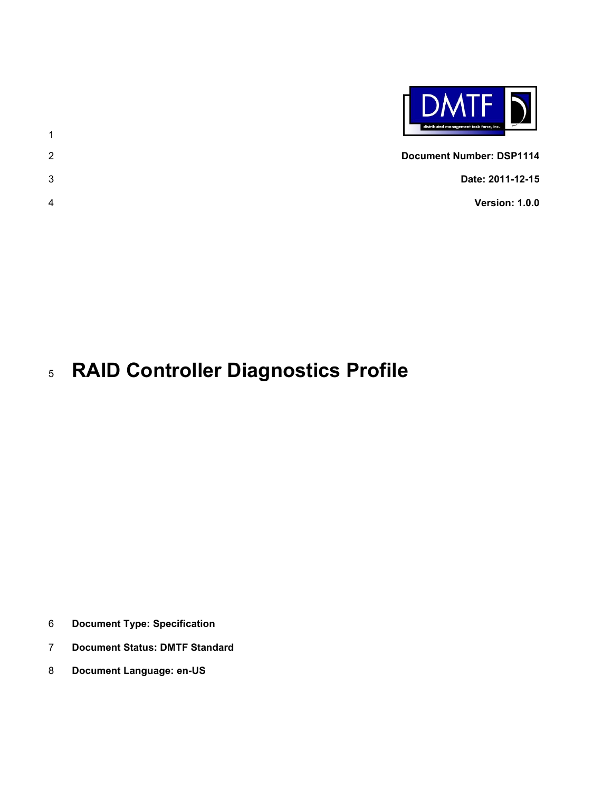

 **Document Number: DSP1114 Date: 2011-12-15 Version: 1.0.0**

# **RAID Controller Diagnostics Profile**

- **Document Type: Specification**
- **Document Status: DMTF Standard**
- **Document Language: en-US**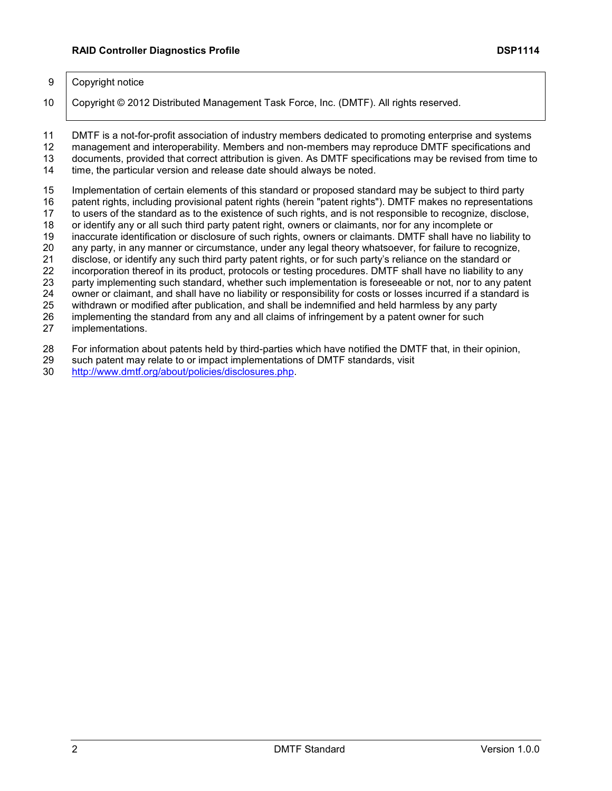#### 9 Copyright notice

Copyright © 2012 Distributed Management Task Force, Inc. (DMTF). All rights reserved.

 DMTF is a not-for-profit association of industry members dedicated to promoting enterprise and systems management and interoperability. Members and non-members may reproduce DMTF specifications and documents, provided that correct attribution is given. As DMTF specifications may be revised from time to

time, the particular version and release date should always be noted.

Implementation of certain elements of this standard or proposed standard may be subject to third party

patent rights, including provisional patent rights (herein "patent rights"). DMTF makes no representations

to users of the standard as to the existence of such rights, and is not responsible to recognize, disclose,

18 or identify any or all such third party patent right, owners or claimants, nor for any incomplete or<br>19 inaccurate identification or disclosure of such rights, owners or claimants. DMTF shall have no li inaccurate identification or disclosure of such rights, owners or claimants. DMTF shall have no liability to

20 any party, in any manner or circumstance, under any legal theory whatsoever, for failure to recognize, 21 disclose, or identify any such third party patent rights, or for such party's reliance on the standard or

21 disclose, or identify any such third party patent rights, or for such party's reliance on the standard or<br>22 incorporation thereof in its product, protocols or testing procedures. DMTF shall have no liability to a incorporation thereof in its product, protocols or testing procedures. DMTF shall have no liability to any

party implementing such standard, whether such implementation is foreseeable or not, nor to any patent

owner or claimant, and shall have no liability or responsibility for costs or losses incurred if a standard is

withdrawn or modified after publication, and shall be indemnified and held harmless by any party

implementing the standard from any and all claims of infringement by a patent owner for such

implementations.

For information about patents held by third-parties which have notified the DMTF that, in their opinion,

- such patent may relate to or impact implementations of DMTF standards, visit
- [http://www.dmtf.org/about/policies/disclosures.php.](http://www.dmtf.org/about/policies/disclosures.php)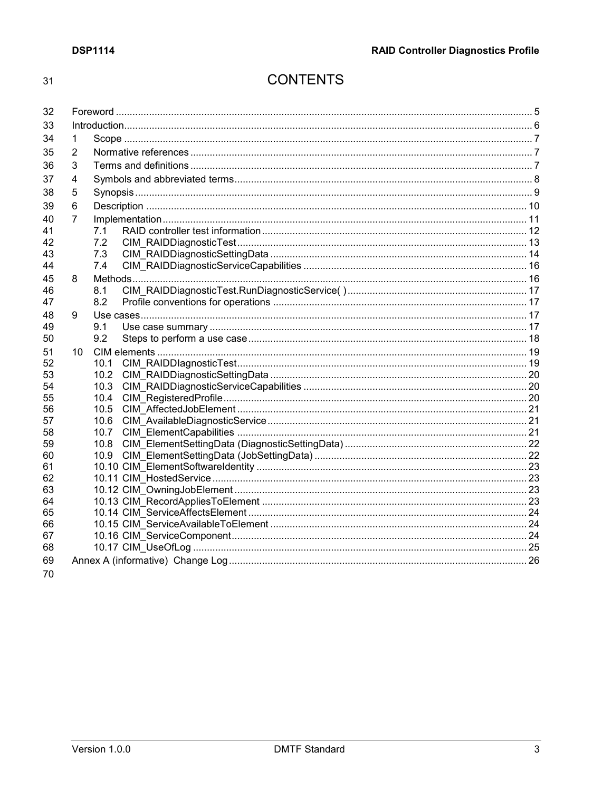#### $31$

## **CONTENTS**

| 32       |                |              |  |  |
|----------|----------------|--------------|--|--|
| 33       |                |              |  |  |
| 34       | 1              |              |  |  |
| 35       | 2              |              |  |  |
| 36       | 3              |              |  |  |
| 37       | 4              |              |  |  |
| 38       | 5              |              |  |  |
| 39       | 6              |              |  |  |
| 40       | $\overline{7}$ |              |  |  |
| 41       |                | 7.1          |  |  |
| 42       |                | 7.2          |  |  |
| 43       |                | 7.3          |  |  |
| 44       |                | 7.4          |  |  |
| 45       | 8              |              |  |  |
| 46       |                | 8.1          |  |  |
| 47       |                | 8.2          |  |  |
| 48       | 9              |              |  |  |
| 49       |                | 9.1          |  |  |
| 50       |                | 9.2          |  |  |
| 51       | 10             |              |  |  |
| 52       |                | 10.1         |  |  |
| 53       |                | 10.2         |  |  |
| 54<br>55 |                | 10.3<br>10.4 |  |  |
| 56       |                | 10.5         |  |  |
| 57       |                | 10.6         |  |  |
| 58       |                | 10.7         |  |  |
| 59       |                | 10.8         |  |  |
| 60       |                | 10.9         |  |  |
| 61       |                |              |  |  |
| 62       |                |              |  |  |
| 63       |                |              |  |  |
| 64       |                |              |  |  |
| 65       |                |              |  |  |
| 66       |                |              |  |  |
| 67<br>68 |                |              |  |  |
|          |                |              |  |  |
| 69       |                |              |  |  |
| 70       |                |              |  |  |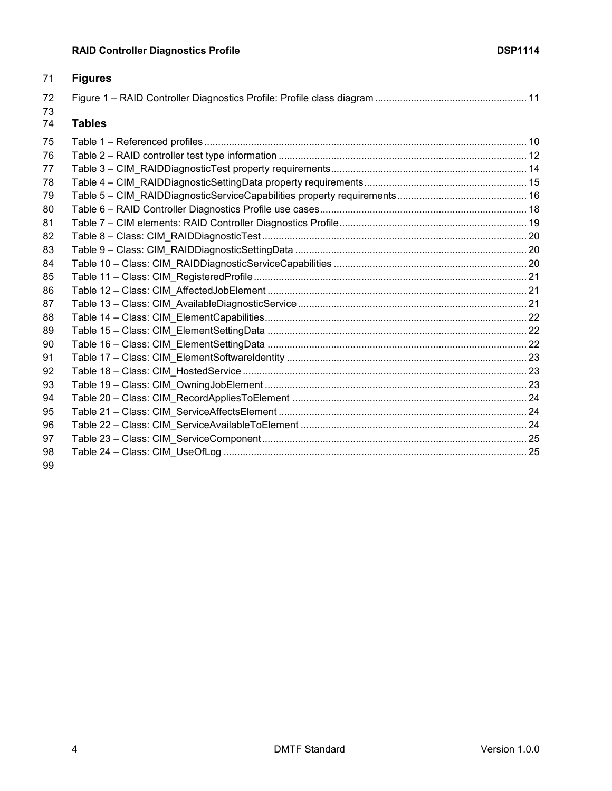| 71       | <b>Figures</b> |  |
|----------|----------------|--|
| 72<br>73 |                |  |
| 74       | <b>Tables</b>  |  |
| 75       |                |  |
| 76       |                |  |
| 77       |                |  |
| 78       |                |  |
| 79       |                |  |
| 80       |                |  |
| 81       |                |  |
| 82       |                |  |
| 83       |                |  |
| 84       |                |  |
| 85       |                |  |
| 86       |                |  |
| 87       |                |  |
| 88       |                |  |
| 89       |                |  |
| 90       |                |  |
| 91       |                |  |
| 92       |                |  |
| 93       |                |  |
| 94       |                |  |
| 95       |                |  |
| 96       |                |  |
| 97       |                |  |
| 98       |                |  |
| 99       |                |  |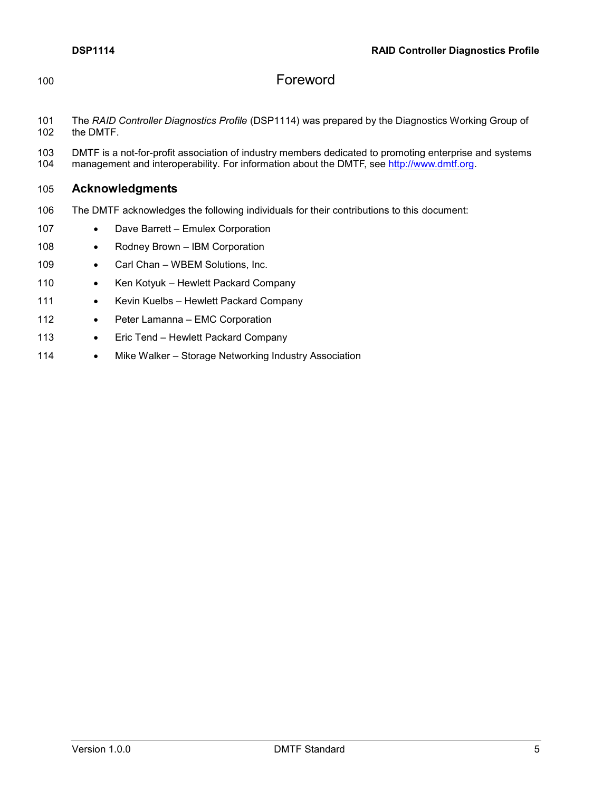<span id="page-4-0"></span>

## 100 Foreword

- 101 The *RAID Controller Diagnostics Profile* (DSP1114) was prepared by the Diagnostics Working Group of the DMTF.
- 103 DMTF is a not-for-profit association of industry members dedicated to promoting enterprise and systems 104 management and interoperability. For information about the DMTF, see http://www.dmtf.org. management and interoperability. For information about the DMTF, see [http://www.dmtf.org.](http://www.dmtf.org/)

## 105 **Acknowledgments**

- 106 The DMTF acknowledges the following individuals for their contributions to this document:
- 107 Dave Barrett Emulex Corporation
- 108 Rodney Brown IBM Corporation
- 109 Carl Chan WBEM Solutions, Inc.
- 110 Ken Kotyuk Hewlett Packard Company
- 111 Kevin Kuelbs Hewlett Packard Company
- 112 Peter Lamanna EMC Corporation
- 113 Eric Tend Hewlett Packard Company
- 114 Mike Walker Storage Networking Industry Association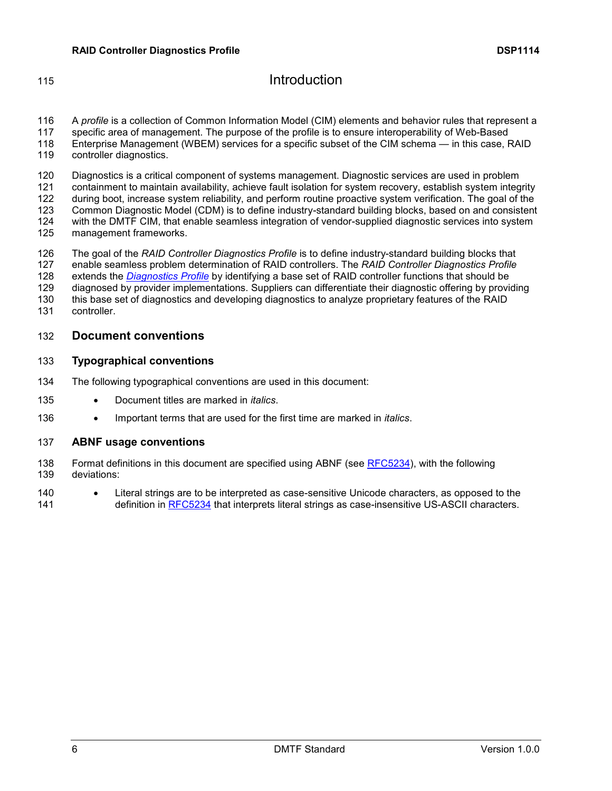## <span id="page-5-0"></span>**Introduction**

 A *profile* is a collection of Common Information Model (CIM) elements and behavior rules that represent a specific area of management. The purpose of the profile is to ensure interoperability of Web-Based Enterprise Management (WBEM) services for a specific subset of the CIM schema — in this case, RAID

119 controller diagnostics.

 Diagnostics is a critical component of systems management. Diagnostic services are used in problem containment to maintain availability, achieve fault isolation for system recovery, establish system integrity 122 during boot, increase system reliability, and perform routine proactive system verification. The goal of the<br>123 Common Diagnostic Model (CDM) is to define industry-standard building blocks, based on and consistent Common Diagnostic Model (CDM) is to define industry-standard building blocks, based on and consistent with the DMTF CIM, that enable seamless integration of vendor-supplied diagnostic services into system management frameworks.

 The goal of the *RAID Controller Diagnostics Profile* is to define industry-standard building blocks that enable seamless problem determination of RAID controllers. The *RAID Controller Diagnostics Profile* extends the *[Diagnostics Profile](#page-6-3)* by identifying a base set of RAID controller functions that should be

diagnosed by provider implementations. Suppliers can differentiate their diagnostic offering by providing

this base set of diagnostics and developing diagnostics to analyze proprietary features of the RAID

controller.

## **Document conventions**

### **Typographical conventions**

- The following typographical conventions are used in this document:
- Document titles are marked in *italics*.
- Important terms that are used for the first time are marked in *italics*.

### **ABNF usage conventions**

- Format definitions in this document are specified using ABNF (see [RFC5234\)](#page-6-4), with the following deviations:
- Literal strings are to be interpreted as case-sensitive Unicode characters, as opposed to the 141 definition in [RFC5234](#page-6-4) that interprets literal strings as case-insensitive US-ASCII characters.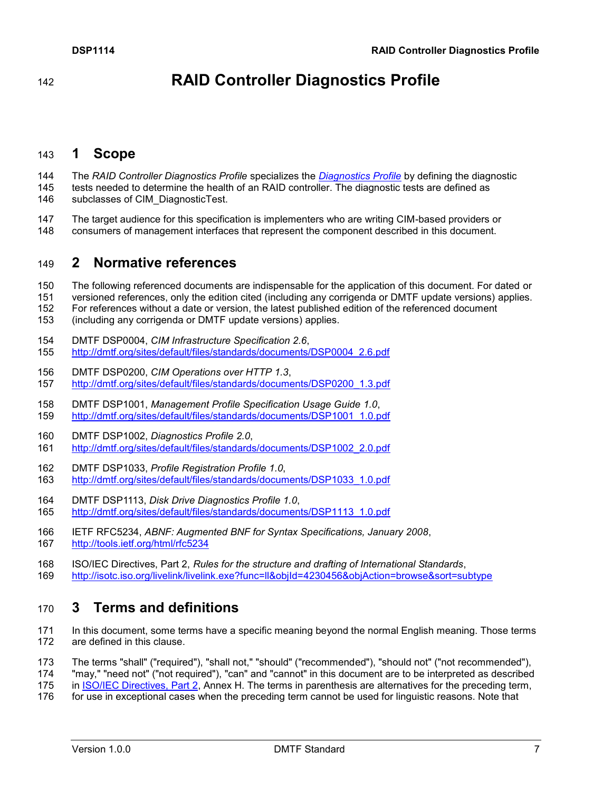**RAID Controller Diagnostics Profile**

## <span id="page-6-0"></span>**1 Scope**

 The *RAID Controller Diagnostics Profile* specializes the *[Diagnostics Profile](#page-6-3)* by defining the diagnostic tests needed to determine the health of an RAID controller. The diagnostic tests are defined as 146 subclasses of CIM\_DiagnosticTest.

147 The target audience for this specification is implementers who are writing CIM-based providers or<br>148 Consumers of management interfaces that represent the component described in this document. consumers of management interfaces that represent the component described in this document.

## <span id="page-6-1"></span>**2 Normative references**

- The following referenced documents are indispensable for the application of this document. For dated or
- versioned references, only the edition cited (including any corrigenda or DMTF update versions) applies.
- For references without a date or version, the latest published edition of the referenced document
- (including any corrigenda or DMTF update versions) applies.
- <span id="page-6-6"></span>DMTF DSP0004, *CIM Infrastructure Specification 2.6*,
- [http://dmtf.org/sites/default/files/standards/documents/DSP0004\\_2.6.pdf](http://dmtf.org/sites/default/files/standards/documents/DSP0004_2.6.pdf)
- <span id="page-6-7"></span> DMTF DSP0200, *CIM Operations over HTTP 1.3*, [http://dmtf.org/sites/default/files/standards/documents/DSP0200\\_1.3.pdf](http://dmtf.org/sites/default/files/standards/documents/DSP0200_1.3.pdf)
- <span id="page-6-8"></span> DMTF DSP1001, *Management Profile Specification Usage Guide 1.0*, [http://dmtf.org/sites/default/files/standards/documents/DSP1001\\_1.0.pdf](http://dmtf.org/sites/default/files/standards/documents/DSP1001_1.0.pdf)
- <span id="page-6-3"></span>DMTF DSP1002, *Diagnostics Profile 2.0*,
- [http://dmtf.org/sites/default/files/standards/documents/DSP1002\\_2.0.pdf](http://dmtf.org/sites/default/files/standards/documents/DSP1002_2.0.pdf)
- <span id="page-6-10"></span>DMTF DSP1033, *Profile Registration Profile 1.0*,
- [http://dmtf.org/sites/default/files/standards/documents/DSP1033\\_1.0.pdf](http://dmtf.org/sites/default/files/standards/documents/DSP1033_1.0.pdf)
- <span id="page-6-9"></span>DMTF DSP1113, *Disk Drive Diagnostics Profile 1.0*,
- [http://dmtf.org/sites/default/files/standards/documents/DSP1113\\_1.0.pdf](http://dmtf.org/sites/default/files/standards/documents/DSP1113_1.0.pdf)
- <span id="page-6-4"></span> IETF RFC5234, *ABNF: Augmented BNF for Syntax Specifications, January 2008*, <http://tools.ietf.org/html/rfc5234>
- <span id="page-6-5"></span> ISO/IEC Directives, Part 2, *Rules for the structure and drafting of International Standards*, <http://isotc.iso.org/livelink/livelink.exe?func=ll&objId=4230456&objAction=browse&sort=subtype>

## <span id="page-6-2"></span>**3 Terms and definitions**

- In this document, some terms have a specific meaning beyond the normal English meaning. Those terms are defined in this clause.
- The terms "shall" ("required"), "shall not," "should" ("recommended"), "should not" ("not recommended"),
- "may," "need not" ("not required"), "can" and "cannot" in this document are to be interpreted as described
- in [ISO/IEC Directives, Part 2,](#page-6-5) Annex H. The terms in parenthesis are alternatives for the preceding term,
- for use in exceptional cases when the preceding term cannot be used for linguistic reasons. Note that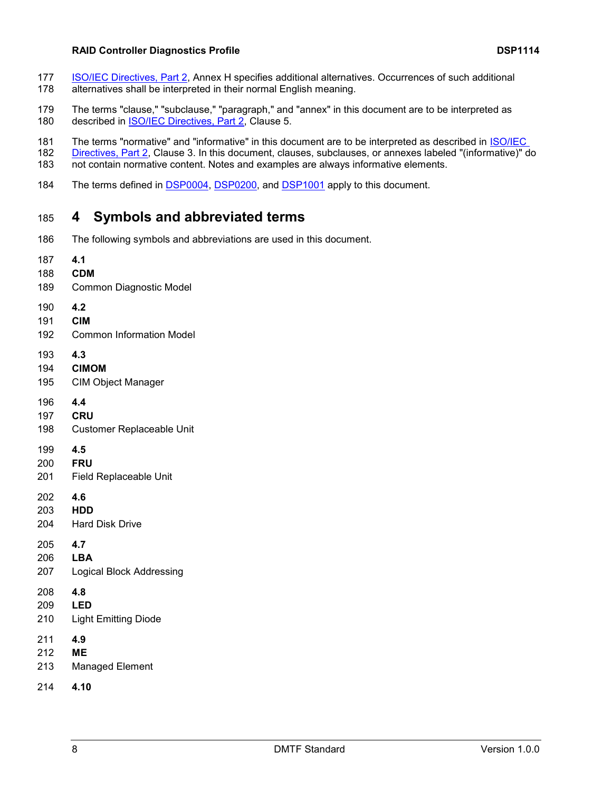#### **RAID Controller Diagnostics Profile DSP1114**

- [ISO/IEC Directives, Part 2,](#page-6-5) Annex H specifies additional alternatives. Occurrences of such additional alternatives shall be interpreted in their normal English meaning.
- The terms "clause," "subclause," "paragraph," and "annex" in this document are to be interpreted as 180 described in **ISO/IEC Directives, Part 2**, Clause 5.
- The terms "normative" and "informative" in this document are to be interpreted as described in [ISO/IEC](#page-6-5)
- [Directives, Part 2,](#page-6-5) Clause 3. In this document, clauses, subclauses, or annexes labeled "(informative)" do<br>183 not contain normative content. Notes and examples are always informative elements. not contain normative content. Notes and examples are always informative elements.
- <span id="page-7-0"></span>184 The terms defined in [DSP0004,](#page-6-6) [DSP0200,](#page-6-7) and [DSP1001](#page-6-8) apply to this document.

## **4 Symbols and abbreviated terms**

The following symbols and abbreviations are used in this document.

| 187 | 4.1                              |
|-----|----------------------------------|
| 188 | <b>CDM</b>                       |
| 189 | Common Diagnostic Model          |
| 190 | 4.2                              |
| 191 | <b>CIM</b>                       |
| 192 | <b>Common Information Model</b>  |
| 193 | 4.3                              |
| 194 | <b>CIMOM</b>                     |
| 195 | <b>CIM Object Manager</b>        |
| 196 | 4.4                              |
| 197 | <b>CRU</b>                       |
| 198 | <b>Customer Replaceable Unit</b> |
| 199 | 4.5                              |
| 200 | <b>FRU</b>                       |
| 201 | Field Replaceable Unit           |
| 202 | 4.6                              |
| 203 | <b>HDD</b>                       |
| 204 | <b>Hard Disk Drive</b>           |
| 205 | 4.7                              |
| 206 | <b>LBA</b>                       |
| 207 | <b>Logical Block Addressing</b>  |
| 208 | 4.8                              |
| 209 | <b>LED</b>                       |
| 210 | <b>Light Emitting Diode</b>      |
| 211 | 4.9                              |
| 212 | <b>ME</b>                        |
| 213 | <b>Managed Element</b>           |
| 214 | 4.10                             |
|     |                                  |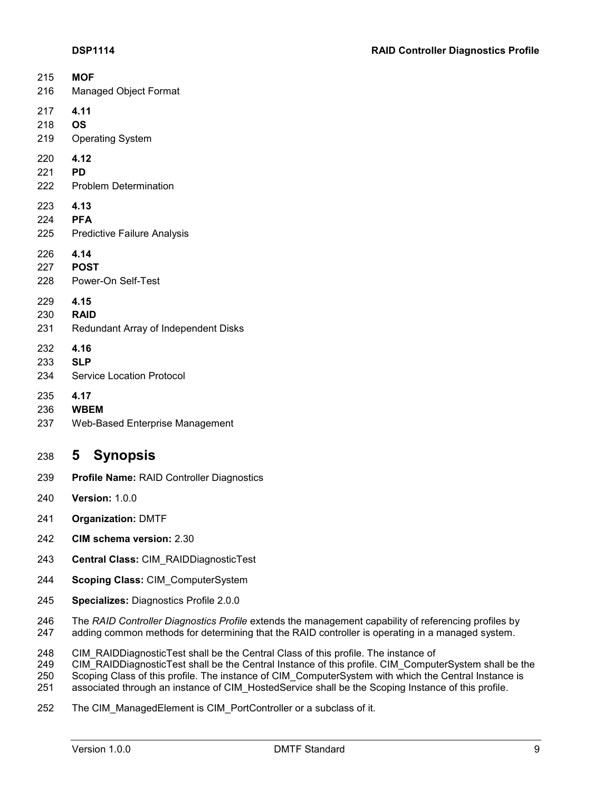| 215                           | <b>MOF</b>                                 |
|-------------------------------|--------------------------------------------|
| 216                           | Managed Object Format                      |
| 217                           | 4.11                                       |
| 218                           | <b>OS</b>                                  |
| 219                           | <b>Operating System</b>                    |
| 220                           | 4.12                                       |
| 221                           | <b>PD</b>                                  |
| 222                           | <b>Problem Determination</b>               |
| 223<br>224 PFA<br>225         | 4.13<br><b>Predictive Failure Analysis</b> |
| 226<br>227 <b>POST</b><br>228 | 4.14<br>Power-On Self-Test                 |
| 229                           | 4.15                                       |
| 230                           | <b>RAID</b>                                |
| 231                           | Redundant Array of Independent Disks       |
| 232                           | 4.16                                       |
| 233                           | <b>SLP</b>                                 |
| 234                           | <b>Service Location Protocol</b>           |
| 235                           | 4.17                                       |
| 236                           | <b>WBEM</b>                                |
| 237                           | Web-Based Enterprise Management            |

## <span id="page-8-0"></span>**5 Synopsis**

- **Profile Name:** RAID Controller Diagnostics
- **Version:** 1.0.0
- **Organization:** DMTF
- **CIM schema version:** 2.30
- **Central Class:** CIM\_RAIDDiagnosticTest
- **Scoping Class:** CIM\_ComputerSystem
- **Specializes:** Diagnostics Profile 2.0.0

 The *RAID Controller Diagnostics Profile* extends the management capability of referencing profiles by adding common methods for determining that the RAID controller is operating in a managed system.

CIM\_RAIDDiagnosticTest shall be the Central Class of this profile. The instance of

249 CIM\_RAIDDiagnosticTest shall be the Central Instance of this profile. CIM\_ComputerSystem shall be the

Scoping Class of this profile. The instance of CIM\_ComputerSystem with which the Central Instance is

associated through an instance of CIM\_HostedService shall be the Scoping Instance of this profile.

The CIM\_ManagedElement is CIM\_PortController or a subclass of it.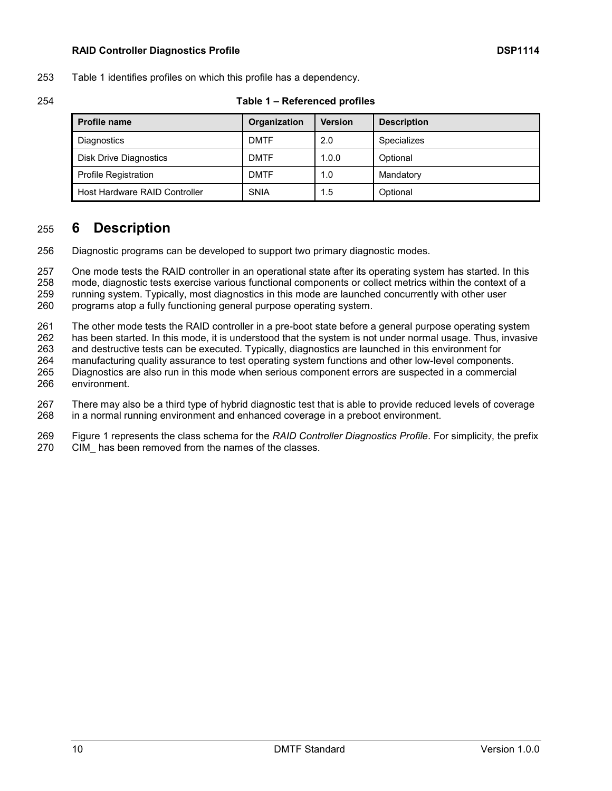#### **RAID Controller Diagnostics Profile DSP1114**

[Table 1](#page-9-1) identifies profiles on which this profile has a dependency.

<span id="page-9-1"></span>

| <b>Profile name</b>           | Organization | <b>Version</b> | <b>Description</b> |
|-------------------------------|--------------|----------------|--------------------|
| Diagnostics                   | <b>DMTF</b>  | 2.0            | Specializes        |
| Disk Drive Diagnostics        | <b>DMTF</b>  | 1.0.0          | Optional           |
| <b>Profile Registration</b>   | <b>DMTF</b>  | 1.0            | Mandatory          |
| Host Hardware RAID Controller | <b>SNIA</b>  | 1.5            | Optional           |

#### **Table 1 – Referenced profiles**

## <span id="page-9-0"></span>**6 Description**

Diagnostic programs can be developed to support two primary diagnostic modes.

 One mode tests the RAID controller in an operational state after its operating system has started. In this mode, diagnostic tests exercise various functional components or collect metrics within the context of a running system. Typically, most diagnostics in this mode are launched concurrently with other user programs atop a fully functioning general purpose operating system.

The other mode tests the RAID controller in a pre-boot state before a general purpose operating system

 has been started. In this mode, it is understood that the system is not under normal usage. Thus, invasive and destructive tests can be executed. Typically, diagnostics are launched in this environment for manufacturing quality assurance to test operating system functions and other low-level components.

 Diagnostics are also run in this mode when serious component errors are suspected in a commercial environment.

 There may also be a third type of hybrid diagnostic test that is able to provide reduced levels of coverage in a normal running environment and enhanced coverage in a preboot environment.

 [Figure 1](#page-10-1) represents the class schema for the *RAID Controller Diagnostics Profile*. For simplicity, the prefix CIM\_ has been removed from the names of the classes.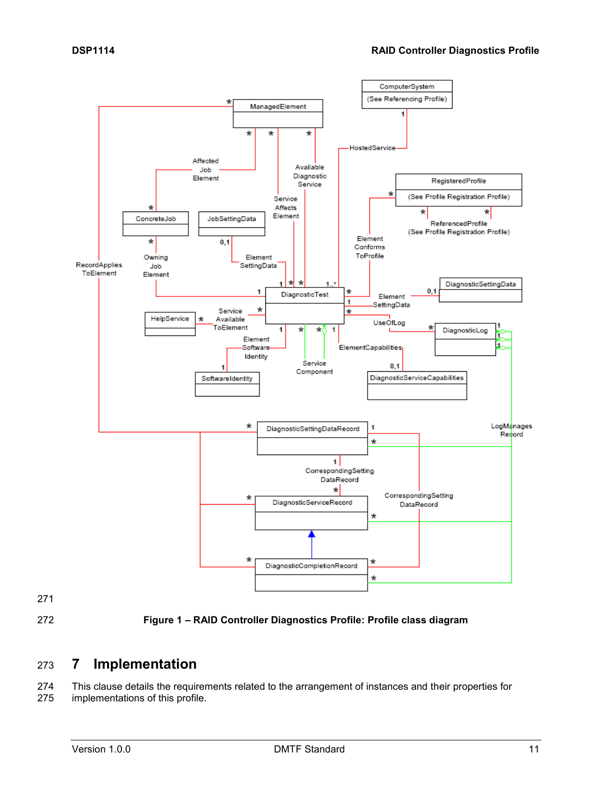

<span id="page-10-1"></span>

**Figure 1 – RAID Controller Diagnostics Profile: Profile class diagram**

## <span id="page-10-0"></span>**7 Implementation**

 This clause details the requirements related to the arrangement of instances and their properties for implementations of this profile.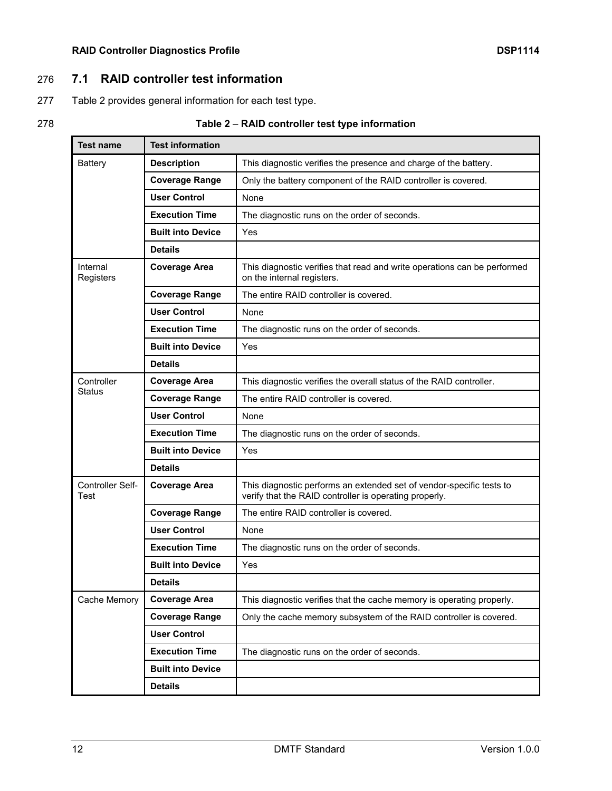## 276 **7.1 RAID controller test information**

- <span id="page-11-0"></span>277 [Table 2](#page-11-1) provides general information for each test type.
- 

## 278 **Table 2** – **RAID controller test type information**

<span id="page-11-1"></span>

| <b>Test name</b>         | <b>Test information</b>  |                                                                                                                                |  |  |
|--------------------------|--------------------------|--------------------------------------------------------------------------------------------------------------------------------|--|--|
| <b>Battery</b>           | <b>Description</b>       | This diagnostic verifies the presence and charge of the battery.                                                               |  |  |
|                          | <b>Coverage Range</b>    | Only the battery component of the RAID controller is covered.                                                                  |  |  |
|                          | <b>User Control</b>      | None                                                                                                                           |  |  |
|                          | <b>Execution Time</b>    | The diagnostic runs on the order of seconds.                                                                                   |  |  |
|                          | <b>Built into Device</b> | Yes                                                                                                                            |  |  |
|                          | <b>Details</b>           |                                                                                                                                |  |  |
| Internal<br>Registers    | <b>Coverage Area</b>     | This diagnostic verifies that read and write operations can be performed<br>on the internal registers.                         |  |  |
|                          | <b>Coverage Range</b>    | The entire RAID controller is covered.                                                                                         |  |  |
|                          | <b>User Control</b>      | None                                                                                                                           |  |  |
|                          | <b>Execution Time</b>    | The diagnostic runs on the order of seconds.                                                                                   |  |  |
|                          | <b>Built into Device</b> | Yes                                                                                                                            |  |  |
|                          | <b>Details</b>           |                                                                                                                                |  |  |
| Controller               | <b>Coverage Area</b>     | This diagnostic verifies the overall status of the RAID controller.                                                            |  |  |
| <b>Status</b>            | <b>Coverage Range</b>    | The entire RAID controller is covered.                                                                                         |  |  |
|                          | <b>User Control</b>      | None                                                                                                                           |  |  |
|                          | <b>Execution Time</b>    | The diagnostic runs on the order of seconds.                                                                                   |  |  |
|                          | <b>Built into Device</b> | Yes                                                                                                                            |  |  |
|                          | <b>Details</b>           |                                                                                                                                |  |  |
| Controller Self-<br>Test | <b>Coverage Area</b>     | This diagnostic performs an extended set of vendor-specific tests to<br>verify that the RAID controller is operating properly. |  |  |
|                          | <b>Coverage Range</b>    | The entire RAID controller is covered.                                                                                         |  |  |
|                          | <b>User Control</b>      | None                                                                                                                           |  |  |
|                          | <b>Execution Time</b>    | The diagnostic runs on the order of seconds.                                                                                   |  |  |
|                          | <b>Built into Device</b> | Yes                                                                                                                            |  |  |
|                          | <b>Details</b>           |                                                                                                                                |  |  |
| Cache Memory             | <b>Coverage Area</b>     | This diagnostic verifies that the cache memory is operating properly.                                                          |  |  |
|                          | <b>Coverage Range</b>    | Only the cache memory subsystem of the RAID controller is covered.                                                             |  |  |
|                          | <b>User Control</b>      |                                                                                                                                |  |  |
|                          | <b>Execution Time</b>    | The diagnostic runs on the order of seconds.                                                                                   |  |  |
|                          | <b>Built into Device</b> |                                                                                                                                |  |  |
|                          | <b>Details</b>           |                                                                                                                                |  |  |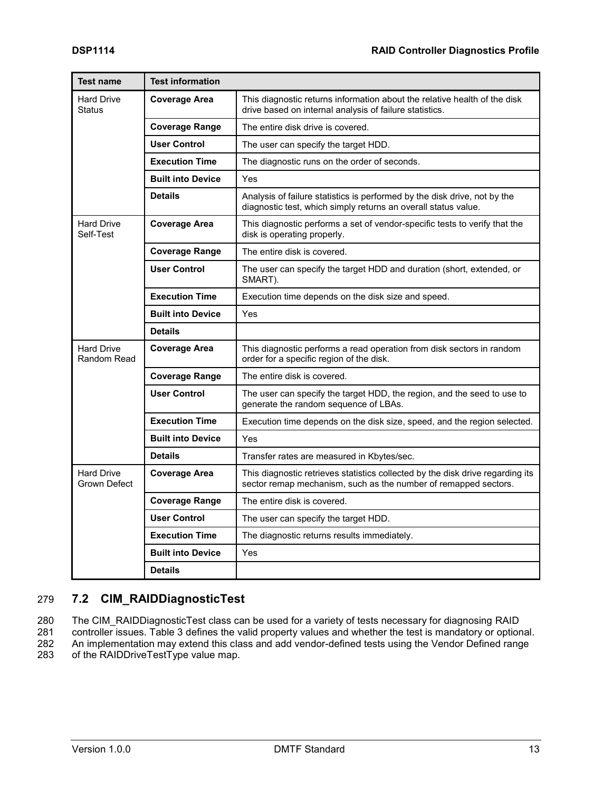| <b>Test name</b>                                         | <b>Test information</b>  |                                                                                                                                                   |  |  |
|----------------------------------------------------------|--------------------------|---------------------------------------------------------------------------------------------------------------------------------------------------|--|--|
| <b>Hard Drive</b><br>Status                              | <b>Coverage Area</b>     | This diagnostic returns information about the relative health of the disk<br>drive based on internal analysis of failure statistics.              |  |  |
|                                                          | <b>Coverage Range</b>    | The entire disk drive is covered.                                                                                                                 |  |  |
|                                                          | <b>User Control</b>      | The user can specify the target HDD.                                                                                                              |  |  |
|                                                          | <b>Execution Time</b>    | The diagnostic runs on the order of seconds.                                                                                                      |  |  |
|                                                          | <b>Built into Device</b> | Yes                                                                                                                                               |  |  |
|                                                          | <b>Details</b>           | Analysis of failure statistics is performed by the disk drive, not by the<br>diagnostic test, which simply returns an overall status value.       |  |  |
| <b>Hard Drive</b><br>Self-Test                           | Coverage Area            | This diagnostic performs a set of vendor-specific tests to verify that the<br>disk is operating properly.                                         |  |  |
|                                                          | Coverage Range           | The entire disk is covered.                                                                                                                       |  |  |
|                                                          | <b>User Control</b>      | The user can specify the target HDD and duration (short, extended, or<br>SMART).                                                                  |  |  |
|                                                          | <b>Execution Time</b>    | Execution time depends on the disk size and speed.                                                                                                |  |  |
|                                                          | <b>Built into Device</b> | Yes                                                                                                                                               |  |  |
|                                                          | <b>Details</b>           |                                                                                                                                                   |  |  |
| <b>Hard Drive</b><br><b>Coverage Area</b><br>Random Read |                          | This diagnostic performs a read operation from disk sectors in random<br>order for a specific region of the disk.                                 |  |  |
|                                                          | <b>Coverage Range</b>    | The entire disk is covered.                                                                                                                       |  |  |
|                                                          | <b>User Control</b>      | The user can specify the target HDD, the region, and the seed to use to<br>generate the random sequence of LBAs.                                  |  |  |
|                                                          | <b>Execution Time</b>    | Execution time depends on the disk size, speed, and the region selected.                                                                          |  |  |
|                                                          | <b>Built into Device</b> | Yes                                                                                                                                               |  |  |
|                                                          | <b>Details</b>           | Transfer rates are measured in Kbytes/sec.                                                                                                        |  |  |
| <b>Hard Drive</b><br>Grown Defect                        | <b>Coverage Area</b>     | This diagnostic retrieves statistics collected by the disk drive regarding its<br>sector remap mechanism, such as the number of remapped sectors. |  |  |
|                                                          | <b>Coverage Range</b>    | The entire disk is covered.                                                                                                                       |  |  |
|                                                          | <b>User Control</b>      | The user can specify the target HDD.                                                                                                              |  |  |
|                                                          | <b>Execution Time</b>    | The diagnostic returns results immediately.                                                                                                       |  |  |
|                                                          | <b>Built into Device</b> | Yes                                                                                                                                               |  |  |
|                                                          | <b>Details</b>           |                                                                                                                                                   |  |  |

## <span id="page-12-0"></span>279 **7.2 CIM\_RAIDDiagnosticTest**

280 The CIM\_RAIDDiagnosticTest class can be used for a variety of tests necessary for diagnosing RAID<br>281 controller issues. Table 3 defines the valid property values and whether the test is mandatory or option

controller issues. [Table 3](#page-13-1) defines the valid property values and whether the test is mandatory or optional.

282 An implementation may extend this class and add vendor-defined tests using the Vendor Defined range<br>283 of the RAIDDriveTestType value map. of the RAIDDriveTestType value map.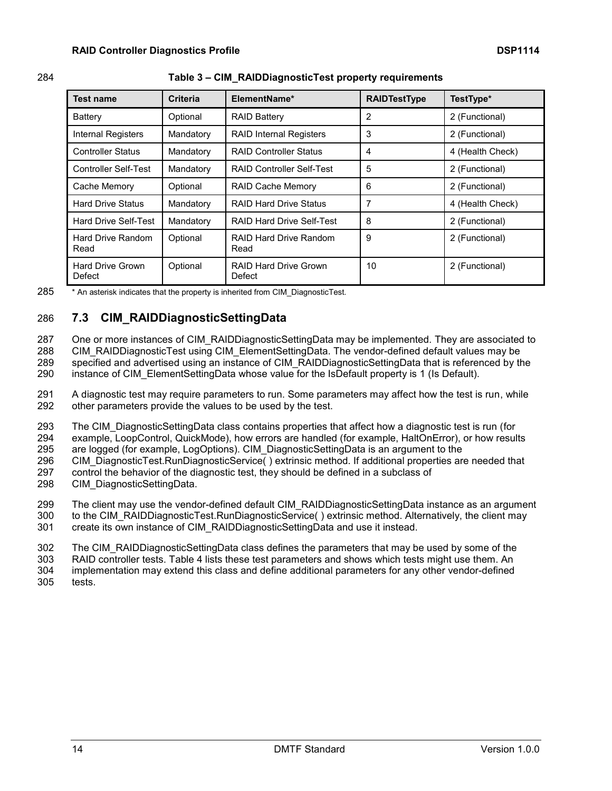<span id="page-13-1"></span>

| <b>Test name</b>           | <b>Criteria</b> | ElementName*                     | <b>RAIDTestType</b> | TestType*        |
|----------------------------|-----------------|----------------------------------|---------------------|------------------|
| Battery                    | Optional        | <b>RAID Battery</b>              | 2                   | 2 (Functional)   |
| Internal Registers         | Mandatory       | <b>RAID Internal Registers</b>   | 3                   | 2 (Functional)   |
| <b>Controller Status</b>   | Mandatory       | <b>RAID Controller Status</b>    | 4                   | 4 (Health Check) |
| Controller Self-Test       | Mandatory       | RAID Controller Self-Test        | 5                   | 2 (Functional)   |
| Cache Memory               | Optional        | <b>RAID Cache Memory</b>         | 6                   | 2 (Functional)   |
| <b>Hard Drive Status</b>   | Mandatory       | <b>RAID Hard Drive Status</b>    | 7                   | 4 (Health Check) |
| Hard Drive Self-Test       | Mandatory       | <b>RAID Hard Drive Self-Test</b> | 8                   | 2 (Functional)   |
| Hard Drive Random<br>Read  | Optional        | RAID Hard Drive Random<br>Read   | 9                   | 2 (Functional)   |
| Hard Drive Grown<br>Defect | Optional        | RAID Hard Drive Grown<br>Defect  | 10                  | 2 (Functional)   |

#### 284 **Table 3 – CIM\_RAIDDiagnosticTest property requirements**

285 \* An asterisk indicates that the property is inherited from CIM\_DiagnosticTest.

## <span id="page-13-0"></span>286 **7.3 CIM\_RAIDDiagnosticSettingData**

287 One or more instances of CIM\_RAIDDiagnosticSettingData may be implemented. They are associated to

288 CIM\_RAIDDiagnosticTest using CIM\_ElementSettingData. The vendor-defined default values may be 289 specified and advertised using an instance of CIM\_RAIDDiagnosticSettingData that is referenced by the

290 instance of CIM ElementSettingData whose value for the IsDefault property is 1 (Is Default).

291 A diagnostic test may require parameters to run. Some parameters may affect how the test is run, while 292 other parameters provide the values to be used by the test.

293 The CIM DiagnosticSettingData class contains properties that affect how a diagnostic test is run (for

294 example, LoopControl, QuickMode), how errors are handled (for example, HaltOnError), or how results

295 are logged (for example, LogOptions). CIM\_DiagnosticSettingData is an argument to the

296 CIM DiagnosticTest.RunDiagnosticService() extrinsic method. If additional properties are needed that

297 control the behavior of the diagnostic test, they should be defined in a subclass of

298 CIM\_DiagnosticSettingData.

299 The client may use the vendor-defined default CIM\_RAIDDiagnosticSettingData instance as an argument

- 300 to the CIM\_RAIDDiagnosticTest.RunDiagnosticService() extrinsic method. Alternatively, the client may
- 301 create its own instance of CIM\_RAIDDiagnosticSettingData and use it instead.

302 The CIM\_RAIDDiagnosticSettingData class defines the parameters that may be used by some of the

303 RAID controller tests. [Table 4](#page-14-0) lists these test parameters and shows which tests might use them. An

304 implementation may extend this class and define additional parameters for any other vendor-defined 305 tests.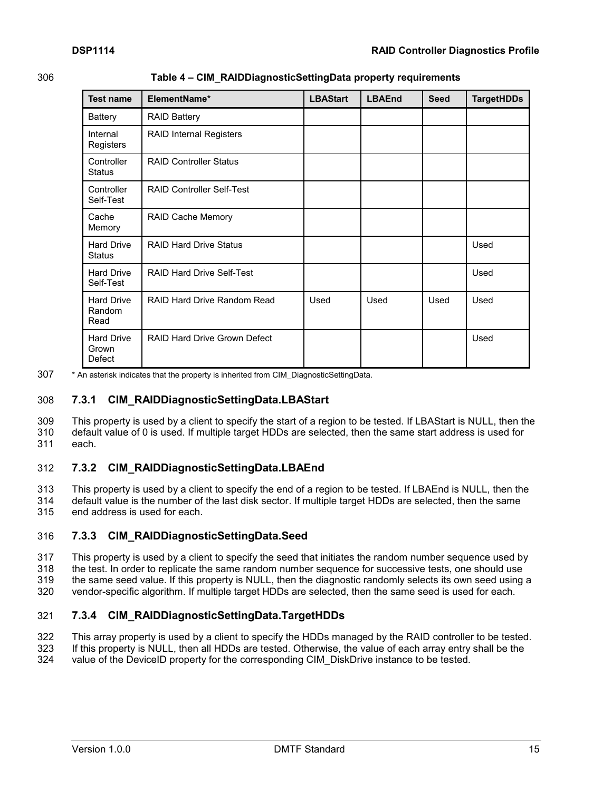306 **Table 4 – CIM\_RAIDDiagnosticSettingData property requirements**

<span id="page-14-0"></span>

| <b>Test name</b>                     | ElementName*                  | <b>LBAStart</b> | <b>LBAEnd</b> | <b>Seed</b> | <b>TargetHDDs</b> |
|--------------------------------------|-------------------------------|-----------------|---------------|-------------|-------------------|
| <b>Battery</b>                       | <b>RAID Battery</b>           |                 |               |             |                   |
| Internal<br>Registers                | RAID Internal Registers       |                 |               |             |                   |
| Controller<br><b>Status</b>          | <b>RAID Controller Status</b> |                 |               |             |                   |
| Controller<br>Self-Test              | RAID Controller Self-Test     |                 |               |             |                   |
| Cache<br>Memory                      | RAID Cache Memory             |                 |               |             |                   |
| <b>Hard Drive</b><br><b>Status</b>   | <b>RAID Hard Drive Status</b> |                 |               |             | Used              |
| <b>Hard Drive</b><br>Self-Test       | RAID Hard Drive Self-Test     |                 |               |             | Used              |
| <b>Hard Drive</b><br>Random<br>Read  | RAID Hard Drive Random Read   | Used            | Used          | Used        | Used              |
| <b>Hard Drive</b><br>Grown<br>Defect | RAID Hard Drive Grown Defect  |                 |               |             | Used              |

307 \* An asterisk indicates that the property is inherited from CIM DiagnosticSettingData.

### <span id="page-14-1"></span>308 **7.3.1 CIM\_RAIDDiagnosticSettingData.LBAStart**

309 This property is used by a client to specify the start of a region to be tested. If LBAStart is NULL, then the 310 default value of 0 is used. If multiple target HDDs are selected, then the same start address is used for 311 each.

### <span id="page-14-2"></span>312 **7.3.2 CIM\_RAIDDiagnosticSettingData.LBAEnd**

313 This property is used by a client to specify the end of a region to be tested. If LBAEnd is NULL, then the 314 default value is the number of the last disk sector. If multiple target HDDs are selected, then the same 315 end address is used for each.

### <span id="page-14-3"></span>316 **7.3.3 CIM\_RAIDDiagnosticSettingData.Seed**

 This property is used by a client to specify the seed that initiates the random number sequence used by the test. In order to replicate the same random number sequence for successive tests, one should use the same seed value. If this property is NULL, then the diagnostic randomly selects its own seed using a vendor-specific algorithm. If multiple target HDDs are selected, then the same seed is used for each.

## <span id="page-14-4"></span>321 **7.3.4 CIM\_RAIDDiagnosticSettingData.TargetHDDs**

322 This array property is used by a client to specify the HDDs managed by the RAID controller to be tested.<br>323 If this property is NULL, then all HDDs are tested. Otherwise, the value of each array entry shall be the

If this property is NULL, then all HDDs are tested. Otherwise, the value of each array entry shall be the

324 value of the DeviceID property for the corresponding CIM DiskDrive instance to be tested.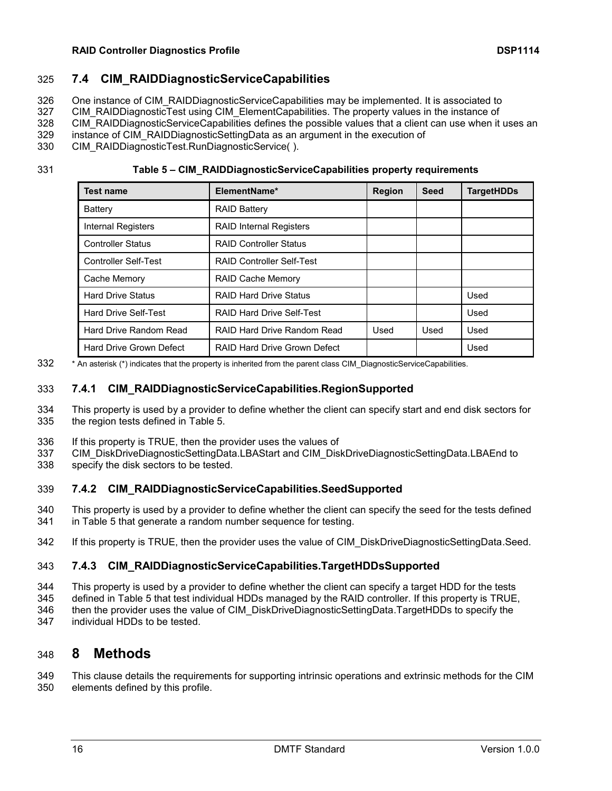#### **RAID Controller Diagnostics Profile DSP1114**

## **7.4 CIM\_RAIDDiagnosticServiceCapabilities**

<span id="page-15-0"></span>One instance of CIM\_RAIDDiagnosticServiceCapabilities may be implemented. It is associated to

327 CIM RAIDDiagnosticTest using CIM ElementCapabilities. The property values in the instance of

328 CIM RAIDDiagnosticServiceCapabilities defines the possible values that a client can use when it uses an

instance of CIM\_RAIDDiagnosticSettingData as an argument in the execution of

CIM\_RAIDDiagnosticTest.RunDiagnosticService( ).

**Table 5 – CIM\_RAIDDiagnosticServiceCapabilities property requirements**

<span id="page-15-2"></span>

| <b>Test name</b>            | ElementName*                     | <b>Region</b> | <b>Seed</b> | <b>TargetHDDs</b> |
|-----------------------------|----------------------------------|---------------|-------------|-------------------|
| Battery                     | <b>RAID Battery</b>              |               |             |                   |
| Internal Registers          | <b>RAID Internal Registers</b>   |               |             |                   |
| <b>Controller Status</b>    | <b>RAID Controller Status</b>    |               |             |                   |
| <b>Controller Self-Test</b> | <b>RAID Controller Self-Test</b> |               |             |                   |
| Cache Memory                | RAID Cache Memory                |               |             |                   |
| <b>Hard Drive Status</b>    | <b>RAID Hard Drive Status</b>    |               |             | Used              |
| <b>Hard Drive Self-Test</b> | <b>RAID Hard Drive Self-Test</b> |               |             | Used              |
| Hard Drive Random Read      | RAID Hard Drive Random Read      | Used          | Used        | Used              |
| Hard Drive Grown Defect     | RAID Hard Drive Grown Defect     |               |             | Used              |

\* An asterisk (\*) indicates that the property is inherited from the parent class CIM\_DiagnosticServiceCapabilities.

## <span id="page-15-3"></span>**7.4.1 CIM\_RAIDDiagnosticServiceCapabilities.RegionSupported**

 This property is used by a provider to define whether the client can specify start and end disk sectors for the region tests defined in [Table 5.](#page-15-2)

- If this property is TRUE, then the provider uses the values of
- CIM\_DiskDriveDiagnosticSettingData.LBAStart and CIM\_DiskDriveDiagnosticSettingData.LBAEnd to
- <span id="page-15-4"></span>specify the disk sectors to be tested.

## **7.4.2 CIM\_RAIDDiagnosticServiceCapabilities.SeedSupported**

 This property is used by a provider to define whether the client can specify the seed for the tests defined in [Table 5](#page-15-2) that generate a random number sequence for testing.

<span id="page-15-5"></span>342 If this property is TRUE, then the provider uses the value of CIM DiskDriveDiagnosticSettingData.Seed.

## **7.4.3 CIM\_RAIDDiagnosticServiceCapabilities.TargetHDDsSupported**

- This property is used by a provider to define whether the client can specify a target HDD for the tests
- defined in [Table 5](#page-15-2) that test individual HDDs managed by the RAID controller. If this property is TRUE,
- then the provider uses the value of CIM\_DiskDriveDiagnosticSettingData.TargetHDDs to specify the
- <span id="page-15-1"></span>individual HDDs to be tested.

## **8 Methods**

 This clause details the requirements for supporting intrinsic operations and extrinsic methods for the CIM elements defined by this profile.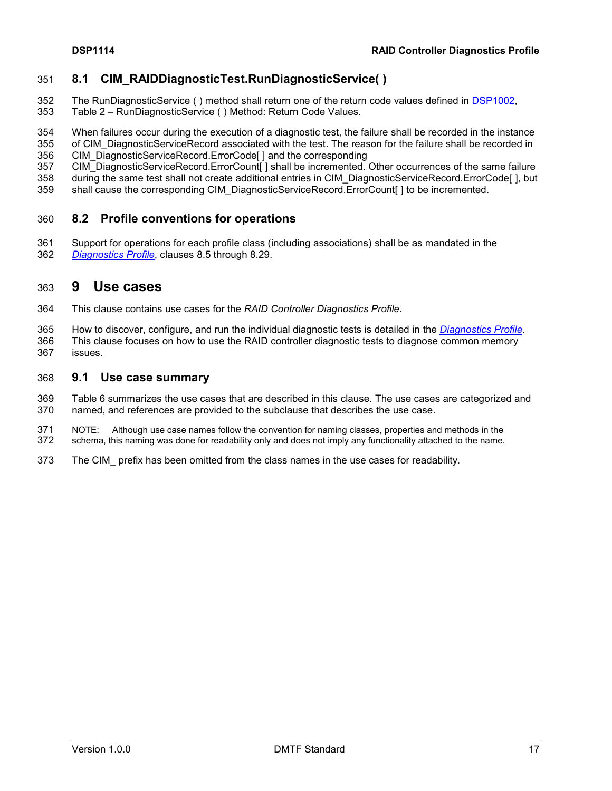## <span id="page-16-0"></span>**8.1 CIM\_RAIDDiagnosticTest.RunDiagnosticService( )**

- The RunDiagnosticService ( ) method shall return one of the return code values defined in [DSP1002,](#page-6-3)
- Table 2 RunDiagnosticService ( ) Method: Return Code Values.
- When failures occur during the execution of a diagnostic test, the failure shall be recorded in the instance
- 355 of CIM\_DiagnosticServiceRecord associated with the test. The reason for the failure shall be recorded in
- CIM\_DiagnosticServiceRecord.ErrorCode[ ] and the corresponding
- 357 CIM\_DiagnosticServiceRecord.ErrorCount[] shall be incremented. Other occurrences of the same failure
- during the same test shall not create additional entries in CIM\_DiagnosticServiceRecord.ErrorCode[ ], but
- <span id="page-16-1"></span>shall cause the corresponding CIM\_DiagnosticServiceRecord.ErrorCount[ ] to be incremented.

## **8.2 Profile conventions for operations**

 Support for operations for each profile class (including associations) shall be as mandated in the *[Diagnostics Profile](#page-6-3)*, clauses 8.5 through 8.29.

## <span id="page-16-2"></span>**9 Use cases**

- This clause contains use cases for the *RAID Controller Diagnostics Profile*.
- How to discover, configure, and run the individual diagnostic tests is detailed in the *[Diagnostics Profile](#page-6-3)*. This clause focuses on how to use the RAID controller diagnostic tests to diagnose common memory issues.

### <span id="page-16-3"></span>**9.1 Use case summary**

 [Table 6](#page-17-1) summarizes the use cases that are described in this clause. The use cases are categorized and named, and references are provided to the subclause that describes the use case.

- 371 NOTE: Although use case names follow the convention for naming classes, properties and methods in the 372 schema, this naming was done for readability only and does not imply any functionality attached to the name. schema, this naming was done for readability only and does not imply any functionality attached to the name.
- The CIM\_ prefix has been omitted from the class names in the use cases for readability.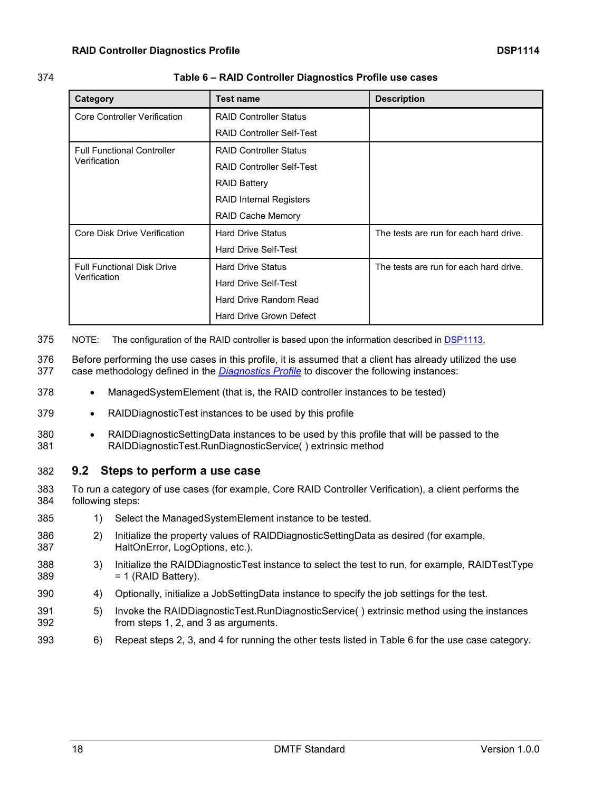#### 374 **Table 6 – RAID Controller Diagnostics Profile use cases**

<span id="page-17-1"></span>

| Category                            | <b>Test name</b>                 | <b>Description</b>                     |
|-------------------------------------|----------------------------------|----------------------------------------|
| Core Controller Verification        | <b>RAID Controller Status</b>    |                                        |
|                                     | <b>RAID Controller Self-Test</b> |                                        |
| <b>Full Functional Controller</b>   | <b>RAID Controller Status</b>    |                                        |
| Verification                        | <b>RAID Controller Self-Test</b> |                                        |
|                                     | <b>RAID Battery</b>              |                                        |
|                                     | <b>RAID Internal Registers</b>   |                                        |
|                                     | <b>RAID Cache Memory</b>         |                                        |
| <b>Core Disk Drive Verification</b> | <b>Hard Drive Status</b>         | The tests are run for each hard drive. |
|                                     | Hard Drive Self-Test             |                                        |
| <b>Full Functional Disk Drive</b>   | <b>Hard Drive Status</b>         | The tests are run for each hard drive. |
| Verification                        | Hard Drive Self-Test             |                                        |
|                                     | Hard Drive Random Read           |                                        |
|                                     | Hard Drive Grown Defect          |                                        |

375 NOTE: The configuration of the RAID controller is based upon the information described in **DSP1113**.

376 Before performing the use cases in this profile, it is assumed that a client has already utilized the use 377 case methodology defined in the *[Diagnostics Profile](#page-6-3)* to discover the following instances:

- 378 ManagedSystemElement (that is, the RAID controller instances to be tested)
- 379 RAIDDiagnosticTest instances to be used by this profile
- 380 RAIDDiagnosticSettingData instances to be used by this profile that will be passed to the 381 RAIDDiagnosticTest.RunDiagnosticService( ) extrinsic method

### <span id="page-17-0"></span>382 **9.2 Steps to perform a use case**

383 To run a category of use cases (for example, Core RAID Controller Verification), a client performs the 384 following steps:

- 385 1) Select the ManagedSystemElement instance to be tested.
- 386 2) Initialize the property values of RAIDDiagnosticSettingData as desired (for example, 387 HaltOnError, LogOptions, etc.).
- 388 3) Initialize the RAIDDiagnosticTest instance to select the test to run, for example, RAIDTestType  $389 = 1$  (RAID Battery).
- 390 4) Optionally, initialize a JobSettingData instance to specify the job settings for the test.
- 391 5) Invoke the RAIDDiagnosticTest.RunDiagnosticService( ) extrinsic method using the instances 392 from steps 1, 2, and 3 as arguments.
- 393 6) Repeat steps 2, 3, and 4 for running the other tests listed in [Table 6](#page-17-1) for the use case category.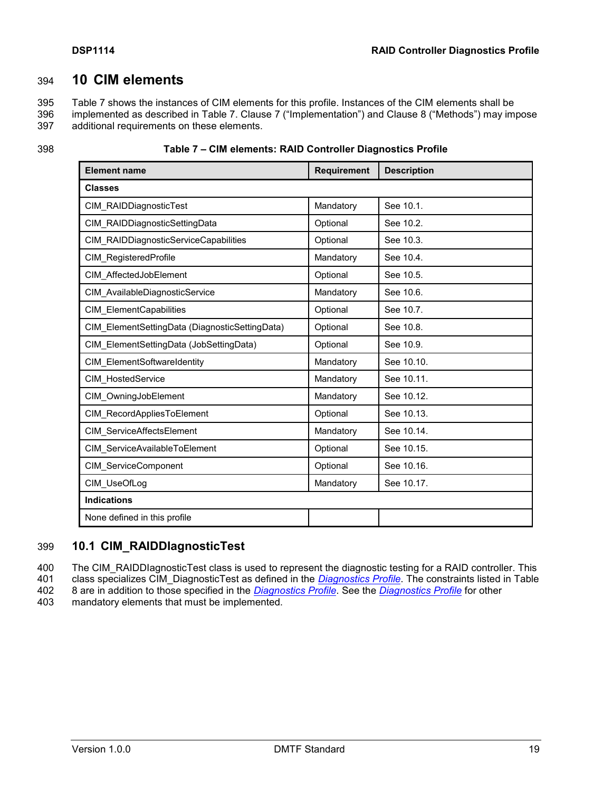## 394 **10 CIM elements**

<span id="page-18-0"></span>395 [Table 7](#page-18-2) shows the instances of CIM elements for this profile. Instances of the CIM elements shall be 396 implemented as described in [Table 7.](#page-18-2) Clause [7](#page-10-0) ("Implementation") and Clause [8](#page-15-1) ("Methods") may impose 397 additional requirements on these elements.

<span id="page-18-2"></span>

| <b>Element name</b>                            | Requirement | <b>Description</b> |
|------------------------------------------------|-------------|--------------------|
| <b>Classes</b>                                 |             |                    |
| CIM RAIDDiagnosticTest                         | Mandatory   | See 10.1.          |
| CIM RAIDDiagnosticSettingData                  | Optional    | See 10.2.          |
| CIM RAIDDiagnosticServiceCapabilities          | Optional    | See 10.3.          |
| CIM RegisteredProfile                          | Mandatory   | See 10.4.          |
| CIM AffectedJobElement                         | Optional    | See 10.5.          |
| CIM AvailableDiagnosticService                 | Mandatory   | See 10.6.          |
| CIM ElementCapabilities                        | Optional    | See 10.7.          |
| CIM ElementSettingData (DiagnosticSettingData) | Optional    | See 10.8.          |
| CIM ElementSettingData (JobSettingData)        | Optional    | See 10.9.          |
| CIM ElementSoftwareIdentity                    | Mandatory   | See 10.10.         |
| CIM HostedService                              | Mandatory   | See 10.11.         |
| CIM OwningJobElement                           | Mandatory   | See 10.12.         |
| CIM RecordAppliesToElement                     | Optional    | See 10.13.         |
| CIM ServiceAffectsElement                      | Mandatory   | See 10.14.         |
| CIM ServiceAvailableToElement                  | Optional    | See 10.15.         |
| CIM ServiceComponent                           | Optional    | See 10.16.         |
| CIM UseOfLog                                   | Mandatory   | See 10.17.         |
| <b>Indications</b>                             |             |                    |
| None defined in this profile                   |             |                    |

| 398 | Table 7 - CIM elements: RAID Controller Diagnostics Profile |
|-----|-------------------------------------------------------------|
|-----|-------------------------------------------------------------|

## <span id="page-18-1"></span>399 **10.1 CIM\_RAIDDIagnosticTest**

400 The CIM\_RAIDDIagnosticTest class is used to represent the diagnostic testing for a RAID controller. This<br>401 class specializes CIM DiagnosticTest as defined in the *Diagnostics Profile*. The constraints listed in Table class specializes CIM DiagnosticTest as defined in the *[Diagnostics Profile](#page-6-3)*. The constraints listed in Table 402 [8](#page-19-3) are in addition to those specified in the *[Diagnostics Profile](#page-6-3)*. See the *[Diagnostics Profile](#page-6-3)* for other

403 mandatory elements that must be implemented.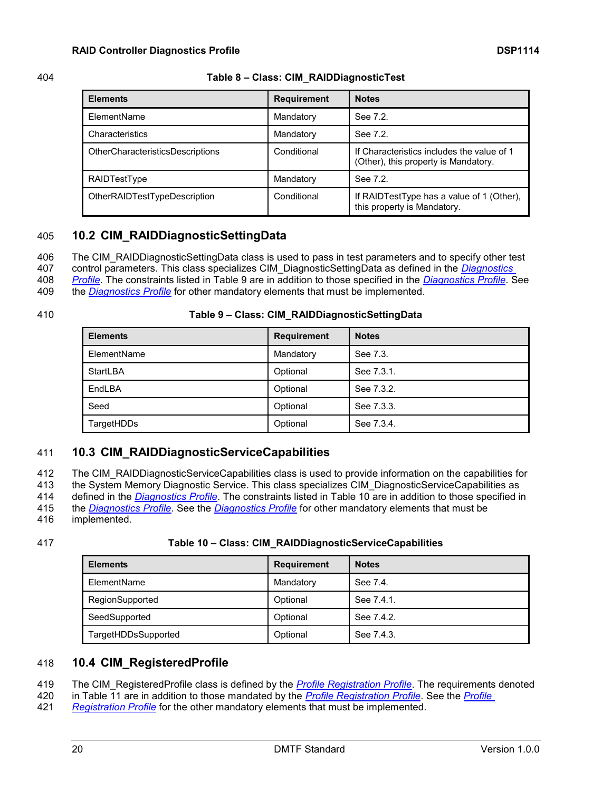#### 404 **Table 8 – Class: CIM\_RAIDDiagnosticTest**

<span id="page-19-3"></span>

| <b>Elements</b>                         | <b>Requirement</b> | <b>Notes</b>                                                                       |
|-----------------------------------------|--------------------|------------------------------------------------------------------------------------|
| ElementName                             | Mandatory          | See 7.2.                                                                           |
| Characteristics                         | Mandatory          | See 7.2.                                                                           |
| <b>OtherCharacteristicsDescriptions</b> | Conditional        | If Characteristics includes the value of 1<br>(Other), this property is Mandatory. |
| RAIDTestType                            | Mandatory          | See 7.2.                                                                           |
| OtherRAIDTestTypeDescription            | Conditional        | If RAIDTestType has a value of 1 (Other),<br>this property is Mandatory.           |

## <span id="page-19-0"></span>405 **10.2 CIM\_RAIDDiagnosticSettingData**

406 The CIM\_RAIDDiagnosticSettingData class is used to pass in test parameters and to specify other test

407 control parameters. This class specializes CIM\_DiagnosticSettingData as defined in the *[Diagnostics](#page-6-3)* 

408 *[Profile](#page-6-3)*. The constraints listed in [Table 9](#page-19-4) are in addition to those specified in the *[Diagnostics Profile](#page-6-3)*. See

409 the *[Diagnostics Profile](#page-6-3)* for other mandatory elements that must be implemented.

| 410 | Table 9 - Class: CIM_RAIDDiagnosticSettingData |
|-----|------------------------------------------------|
|-----|------------------------------------------------|

<span id="page-19-4"></span>

| <b>Elements</b> | <b>Requirement</b> | <b>Notes</b> |
|-----------------|--------------------|--------------|
| ElementName     | Mandatory          | See 7.3.     |
| StartLBA        | Optional           | See 7.3.1.   |
| EndLBA          | Optional           | See 7.3.2.   |
| Seed            | Optional           | See 7.3.3.   |
| TargetHDDs      | Optional           | See 7.3.4.   |

## <span id="page-19-1"></span>411 **10.3 CIM\_RAIDDiagnosticServiceCapabilities**

412 The CIM RAIDDiagnosticServiceCapabilities class is used to provide information on the capabilities for the System Memory Diagnostic Service. This class specializes CIM\_DiagnosticServiceCapabilities as defined in the *[Diagnostics Profile](#page-6-3)*. The constraints listed in [Table 10](#page-19-5) are in addition to those specified in the *[Diagnostics Profile](#page-6-3)*. See the *[Diagnostics Profile](#page-6-3)* for other mandatory elements that must be implemented.

#### 417 **Table 10 – Class: CIM\_RAIDDiagnosticServiceCapabilities**

<span id="page-19-5"></span>

| <b>Elements</b>     | <b>Requirement</b> | <b>Notes</b> |
|---------------------|--------------------|--------------|
| ElementName         | Mandatory          | See 7.4.     |
| RegionSupported     | Optional           | See 7.4.1.   |
| SeedSupported       | Optional           | See 7.4.2    |
| TargetHDDsSupported | Optional           | See 7.4.3.   |

## <span id="page-19-2"></span>418 **10.4 CIM\_RegisteredProfile**

419 The CIM\_RegisteredProfile class is defined by the *[Profile Registration Profile](#page-6-10)*. The requirements denoted

420 in [Table 11](#page-20-3) are in addition to those mandated by the *[Profile Registration Profile](#page-6-10)*. See the *[Profile](#page-6-10)* 

421 *[Registration Profile](#page-6-10)* for the other mandatory elements that must be implemented.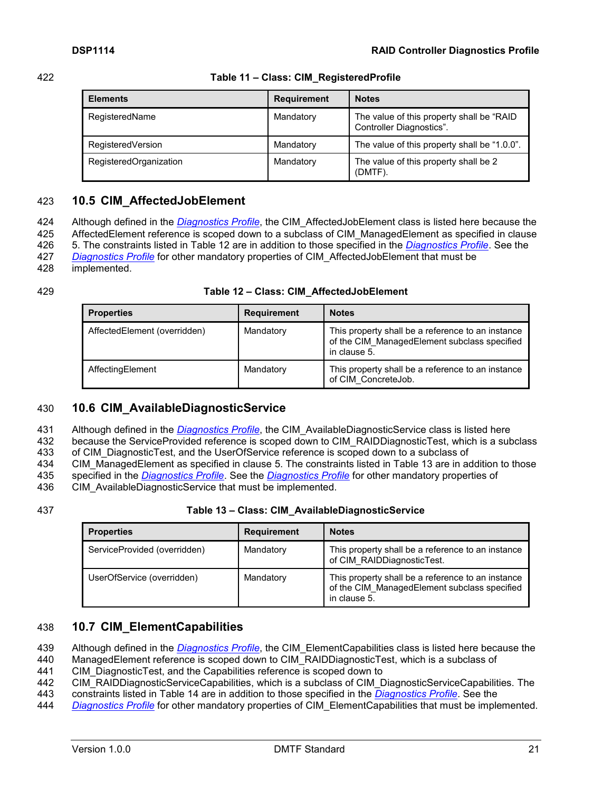#### 422 **Table 11 – Class: CIM\_RegisteredProfile**

<span id="page-20-3"></span>

| <b>Elements</b>        | <b>Requirement</b> | <b>Notes</b>                                                          |
|------------------------|--------------------|-----------------------------------------------------------------------|
| RegisteredName         | Mandatory          | The value of this property shall be "RAID<br>Controller Diagnostics". |
| RegisteredVersion      | Mandatory          | The value of this property shall be "1.0.0".                          |
| RegisteredOrganization | Mandatory          | The value of this property shall be 2<br>(DMTF).                      |

## <span id="page-20-0"></span>423 **10.5 CIM\_AffectedJobElement**

424 Although defined in the *[Diagnostics Profile](#page-6-3)*, the CIM\_AffectedJobElement class is listed here because the 425 AffectedElement reference is scoped down to a subclass of CIM ManagedElement as specified in clause 426 [5.](#page-8-0) The constraints listed in [Table 12](#page-20-4) are in addition to those specified in the *[Diagnostics Profile](#page-6-3)*. See the

427 *[Diagnostics Profile](#page-6-3)* for other mandatory properties of CIM\_AffectedJobElement that must be

428 implemented.

#### 429 **Table 12 – Class: CIM\_AffectedJobElement**

<span id="page-20-4"></span>

| <b>Properties</b>            | <b>Requirement</b> | <b>Notes</b>                                                                                                      |
|------------------------------|--------------------|-------------------------------------------------------------------------------------------------------------------|
| AffectedElement (overridden) | Mandatory          | This property shall be a reference to an instance<br>of the CIM ManagedElement subclass specified<br>in clause 5. |
| AffectingElement             | Mandatory          | This property shall be a reference to an instance<br>of CIM ConcreteJob.                                          |

## <span id="page-20-1"></span>430 **10.6 CIM\_AvailableDiagnosticService**

431 Although defined in the *[Diagnostics Profile](#page-6-3)*, the CIM\_AvailableDiagnosticService class is listed here

432 because the ServiceProvided reference is scoped down to CIM\_RAIDDiagnosticTest, which is a subclass

433 of CIM\_DiagnosticTest, and the UserOfService reference is scoped down to a subclass of

434 CIM ManagedElement as specified in clause [5.](#page-8-0) The constraints listed in [Table 13](#page-20-5) are in addition to those

435 specified in the *[Diagnostics Profile](#page-6-3)*. See the *[Diagnostics Profile](#page-6-3)* for other mandatory properties of

436 CIM AvailableDiagnosticService that must be implemented.

### 437 **Table 13 – Class: CIM\_AvailableDiagnosticService**

<span id="page-20-5"></span>

| <b>Properties</b>            | <b>Requirement</b> | <b>Notes</b>                                                                                                      |
|------------------------------|--------------------|-------------------------------------------------------------------------------------------------------------------|
| ServiceProvided (overridden) | Mandatory          | This property shall be a reference to an instance<br>of CIM RAIDDiagnosticTest.                                   |
| UserOfService (overridden)   | Mandatory          | This property shall be a reference to an instance<br>of the CIM ManagedElement subclass specified<br>in clause 5. |

## <span id="page-20-2"></span>438 **10.7 CIM\_ElementCapabilities**

439 Although defined in the *[Diagnostics Profile](#page-6-3)*, the CIM\_ElementCapabilities class is listed here because the

440 ManagedElement reference is scoped down to CIM\_RAIDDiagnosticTest, which is a subclass of

441 CIM DiagnosticTest, and the Capabilities reference is scoped down to

442 CIM\_RAIDDiagnosticServiceCapabilities, which is a subclass of CIM\_DiagnosticServiceCapabilities. The

443 constraints listed in [Table 14](#page-21-2) are in addition to those specified in the *[Diagnostics Profile](#page-6-3)*. See the

444 *[Diagnostics Profile](#page-6-3)* for other mandatory properties of CIM\_ElementCapabilities that must be implemented.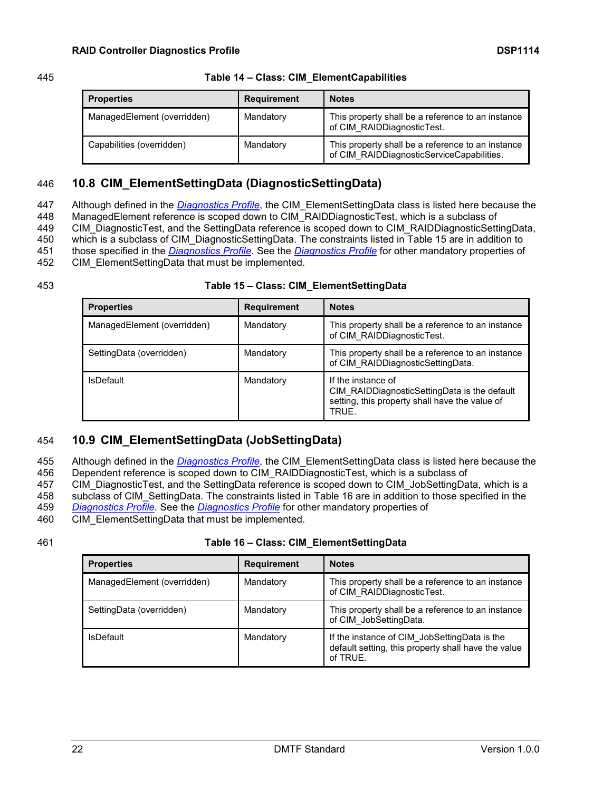#### 445 **Table 14 – Class: CIM\_ElementCapabilities**

<span id="page-21-2"></span>

| <b>Properties</b>           | <b>Requirement</b> | <b>Notes</b>                                                                                   |
|-----------------------------|--------------------|------------------------------------------------------------------------------------------------|
| ManagedElement (overridden) | Mandatory          | This property shall be a reference to an instance<br>of CIM RAIDDiagnosticTest.                |
| Capabilities (overridden)   | Mandatory          | This property shall be a reference to an instance<br>of CIM_RAIDDiagnosticServiceCapabilities. |

## <span id="page-21-0"></span>446 **10.8 CIM\_ElementSettingData (DiagnosticSettingData)**

 Although defined in the *[Diagnostics Profile](#page-6-3)*, the CIM\_ElementSettingData class is listed here because the 448 ManagedElement reference is scoped down to CIM\_RAIDDiagnosticTest, which is a subclass of CIM\_DiagnosticTest, and the SettingData reference is scoped down to CIM\_RAIDDiagnosticSettingData, which is a subclass of CIM\_DiagnosticSettingData. The constraints listed in [Table 15](#page-21-3) are in addition to those specified in the *[Diagnostics Profile](#page-6-3)*. See the *[Diagnostics Profile](#page-6-3)* for other mandatory properties of CIM\_ElementSettingData that must be implemented.

#### 453 **Table 15 – Class: CIM\_ElementSettingData**

<span id="page-21-3"></span>

| <b>Properties</b>           | <b>Requirement</b> | <b>Notes</b>                                                                                                                  |
|-----------------------------|--------------------|-------------------------------------------------------------------------------------------------------------------------------|
| ManagedElement (overridden) | Mandatory          | This property shall be a reference to an instance<br>of CIM RAIDDiagnosticTest.                                               |
| SettingData (overridden)    | Mandatory          | This property shall be a reference to an instance<br>of CIM RAIDDiagnosticSettingData.                                        |
| <b>IsDefault</b>            | Mandatory          | If the instance of<br>CIM RAIDDiagnosticSettingData is the default<br>setting, this property shall have the value of<br>TRUE. |

## <span id="page-21-1"></span>454 **10.9 CIM\_ElementSettingData (JobSettingData)**

- 455 Although defined in the *[Diagnostics Profile](#page-6-3)*, the CIM\_ElementSettingData class is listed here because the
- 456 Dependent reference is scoped down to CIM\_RAIDDiagnosticTest, which is a subclass of
- 457 CIM\_DiagnosticTest, and the SettingData reference is scoped down to CIM\_JobSettingData, which is a 458 subclass of CIM\_SettingData. The constraints listed in [Table 16](#page-21-4) are in addition to those specified in the
- 459 *[Diagnostics Profile](#page-6-3)*. See the *[Diagnostics Profile](#page-6-3)* for other mandatory properties of
- 460 CIM ElementSettingData that must be implemented.
- 

### 461 **Table 16 – Class: CIM\_ElementSettingData**

<span id="page-21-4"></span>

| <b>Properties</b>           | <b>Requirement</b> | <b>Notes</b>                                                                                                    |
|-----------------------------|--------------------|-----------------------------------------------------------------------------------------------------------------|
| ManagedElement (overridden) | Mandatory          | This property shall be a reference to an instance<br>of CIM RAIDDiagnosticTest.                                 |
| SettingData (overridden)    | Mandatory          | This property shall be a reference to an instance<br>of CIM JobSettingData.                                     |
| <b>IsDefault</b>            | Mandatory          | If the instance of CIM_JobSettingData is the<br>default setting, this property shall have the value<br>of TRUE. |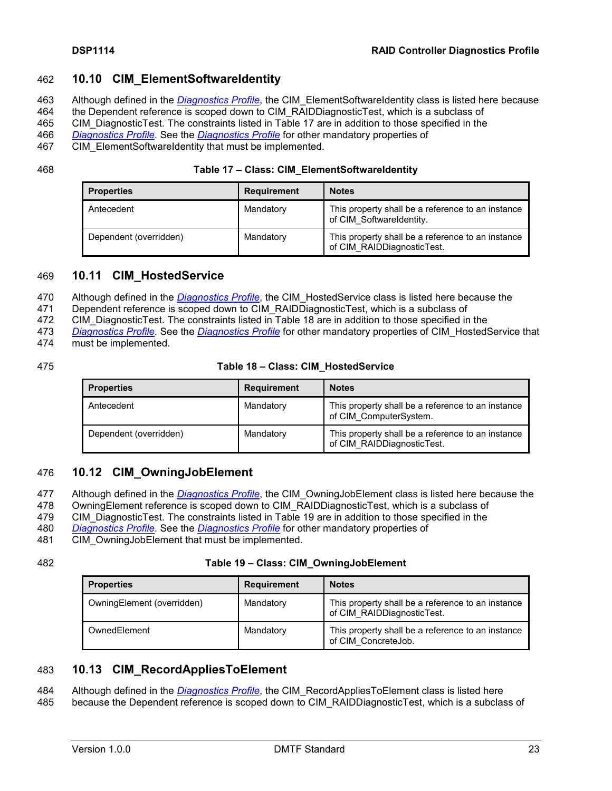## <span id="page-22-0"></span>462 **10.10 CIM\_ElementSoftwareIdentity**

- 463 Although defined in the *[Diagnostics Profile](#page-6-3)*, the CIM\_ElementSoftwareIdentity class is listed here because
- 464 the Dependent reference is scoped down to CIM\_RAIDDiagnosticTest, which is a subclass of
- 465 CIM\_DiagnosticTest. The constraints listed in [Table 17](#page-22-4) are in addition to those specified in the
- 466 *[Diagnostics Profile](#page-6-3)*. See the *[Diagnostics Profile](#page-6-3)* for other mandatory properties of
- 467 CIM ElementSoftwareIdentity that must be implemented.

468 **Table 17 – Class: CIM\_ElementSoftwareIdentity**

<span id="page-22-4"></span>

| <b>Properties</b>      | <b>Requirement</b> | <b>Notes</b>                                                                    |
|------------------------|--------------------|---------------------------------------------------------------------------------|
| Antecedent             | Mandatory          | This property shall be a reference to an instance<br>of CIM SoftwareIdentity.   |
| Dependent (overridden) | Mandatory          | This property shall be a reference to an instance<br>of CIM RAIDDiagnosticTest. |

## <span id="page-22-1"></span>469 **10.11 CIM\_HostedService**

470 Although defined in the *[Diagnostics Profile](#page-6-3)*, the CIM\_HostedService class is listed here because the

471 Dependent reference is scoped down to CIM\_RAIDDiagnosticTest, which is a subclass of

472 CIM\_DiagnosticTest. The constraints listed in [Table 18](#page-22-5) are in addition to those specified in the

473 *[Diagnostics Profile](#page-6-3)*. See the *[Diagnostics Profile](#page-6-3)* for other mandatory properties of CIM\_HostedService that

474 must be implemented.

#### 475 **Table 18 – Class: CIM\_HostedService**

<span id="page-22-5"></span>

| <b>Properties</b>      | <b>Requirement</b> | <b>Notes</b>                                                                    |
|------------------------|--------------------|---------------------------------------------------------------------------------|
| Antecedent             | Mandatory          | This property shall be a reference to an instance<br>of CIM ComputerSystem.     |
| Dependent (overridden) | Mandatory          | This property shall be a reference to an instance<br>of CIM RAIDDiagnosticTest. |

## <span id="page-22-2"></span>476 **10.12 CIM\_OwningJobElement**

- 477 Although defined in the *[Diagnostics Profile](#page-6-3)*, the CIM\_OwningJobElement class is listed here because the
- 478 OwningElement reference is scoped down to CIM\_RAIDDiagnosticTest, which is a subclass of
- 479 CIM DiagnosticTest. The constraints listed in [Table 19](#page-22-6) are in addition to those specified in the
- 480 *[Diagnostics Profile](#page-6-3)*. See the *[Diagnostics Profile](#page-6-3)* for other mandatory properties of
- 481 CIM OwningJobElement that must be implemented.

### 482 **Table 19 – Class: CIM\_OwningJobElement**

<span id="page-22-6"></span>

| <b>Properties</b>          | <b>Requirement</b> | <b>Notes</b>                                                                    |
|----------------------------|--------------------|---------------------------------------------------------------------------------|
| OwningElement (overridden) | Mandatory          | This property shall be a reference to an instance<br>of CIM RAIDDiagnosticTest. |
| OwnedElement               | Mandatory          | This property shall be a reference to an instance<br>of CIM ConcreteJob.        |

## <span id="page-22-3"></span>483 **10.13 CIM\_RecordAppliesToElement**

484 Although defined in the *[Diagnostics Profile](#page-6-3)*, the CIM\_RecordAppliesToElement class is listed here

485 because the Dependent reference is scoped down to CIM\_RAIDDiagnosticTest, which is a subclass of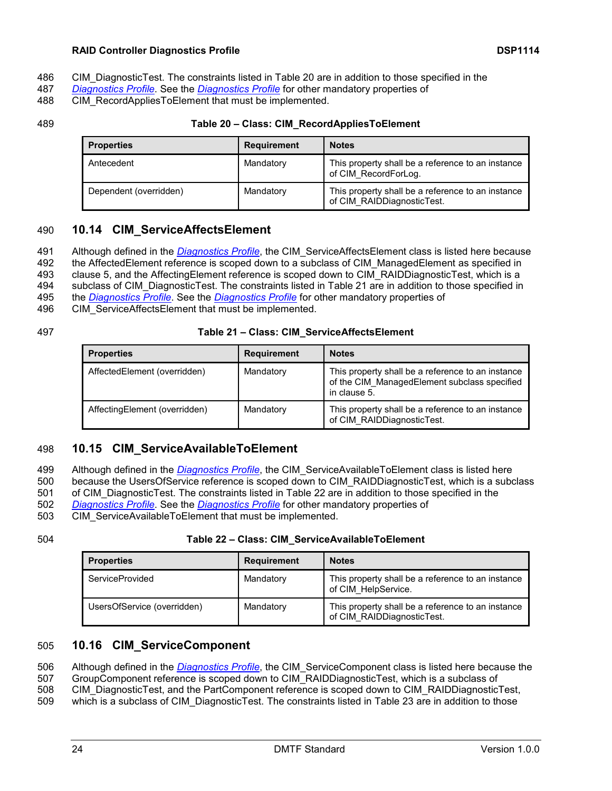#### **RAID Controller Diagnostics Profile DSP1114**

- 486 CIM DiagnosticTest. The constraints listed in [Table 20](#page-23-3) are in addition to those specified in the
- 487 *[Diagnostics Profile](#page-6-3)*. See the *[Diagnostics Profile](#page-6-3)* for other mandatory properties of
- 488 CIM RecordAppliesToElement that must be implemented.

### 489 **Table 20 – Class: CIM\_RecordAppliesToElement**

<span id="page-23-3"></span>

| <b>Properties</b>      | <b>Requirement</b> | <b>Notes</b>                                                                    |
|------------------------|--------------------|---------------------------------------------------------------------------------|
| Antecedent             | Mandatory          | This property shall be a reference to an instance<br>of CIM RecordForLog.       |
| Dependent (overridden) | Mandatory          | This property shall be a reference to an instance<br>of CIM RAIDDiagnosticTest. |

## <span id="page-23-0"></span>490 **10.14 CIM\_ServiceAffectsElement**

491 Although defined in the *[Diagnostics Profile](#page-6-3)*, the CIM\_ServiceAffectsElement class is listed here because

492 the AffectedElement reference is scoped down to a subclass of CIM ManagedElement as specified in

493 clause [5,](#page-8-0) and the AffectingElement reference is scoped down to CIM\_RAIDDiagnosticTest, which is a

494 subclass of CIM\_DiagnosticTest. The constraints listed in [Table 21](#page-23-4) are in addition to those specified in

495 the *[Diagnostics Profile](#page-6-3)*. See the *[Diagnostics Profile](#page-6-3)* for other mandatory properties of

496 CIM ServiceAffectsElement that must be implemented.

## 497 **Table 21 – Class: CIM\_ServiceAffectsElement**

<span id="page-23-4"></span>

| <b>Properties</b>             | <b>Requirement</b> | <b>Notes</b>                                                                                                      |
|-------------------------------|--------------------|-------------------------------------------------------------------------------------------------------------------|
| AffectedElement (overridden)  | Mandatory          | This property shall be a reference to an instance<br>of the CIM ManagedElement subclass specified<br>in clause 5. |
| AffectingElement (overridden) | Mandatory          | This property shall be a reference to an instance<br>of CIM RAIDDiagnosticTest.                                   |

## <span id="page-23-1"></span>498 **10.15 CIM\_ServiceAvailableToElement**

499 Although defined in the *[Diagnostics Profile](#page-6-3)*, the CIM\_ServiceAvailableToElement class is listed here

500 because the UsersOfService reference is scoped down to CIM\_RAIDDiagnosticTest, which is a subclass

501 of CIM\_DiagnosticTest. The constraints listed in [Table 22](#page-23-5) are in addition to those specified in the 502 *[Diagnostics Profile](#page-6-3)*. See the *[Diagnostics Profile](#page-6-3)* for other mandatory properties of

503 CIM\_ServiceAvailableToElement that must be implemented.

## 504 **Table 22 – Class: CIM\_ServiceAvailableToElement**

<span id="page-23-5"></span>

| <b>Properties</b>           | <b>Requirement</b> | <b>Notes</b>                                                                    |
|-----------------------------|--------------------|---------------------------------------------------------------------------------|
| <b>ServiceProvided</b>      | Mandatory          | This property shall be a reference to an instance<br>of CIM HelpService.        |
| UsersOfService (overridden) | Mandatory          | This property shall be a reference to an instance<br>of CIM RAIDDiagnosticTest. |

## <span id="page-23-2"></span>505 **10.16 CIM\_ServiceComponent**

506 Although defined in the *[Diagnostics Profile](#page-6-3)*, the CIM\_ServiceComponent class is listed here because the 507 GroupComponent reference is scoped down to CIM\_RAIDDiagnosticTest, which is a subclass of 508 CIM\_DiagnosticTest, and the PartComponent reference is scoped down to CIM\_RAIDDiagnosticTest,

509 which is a subclass of CIM\_DiagnosticTest. The constraints listed in [Table 23](#page-24-1) are in addition to those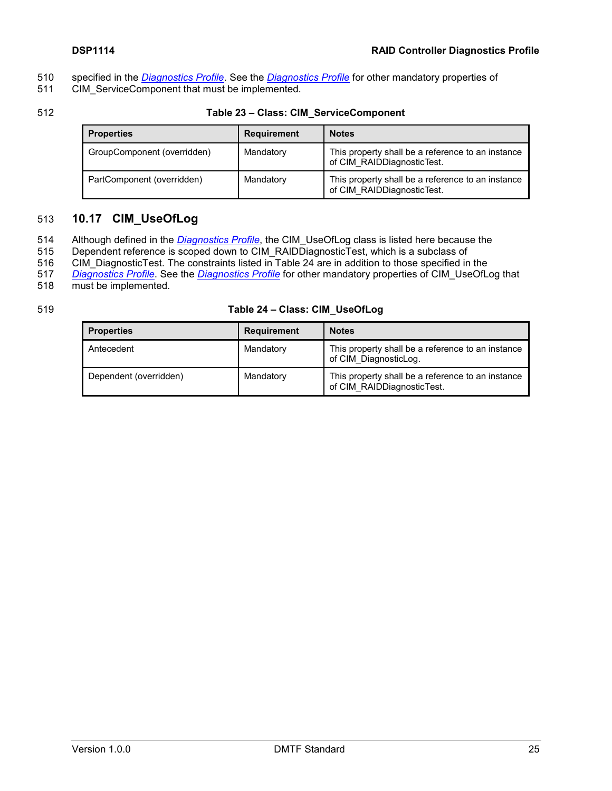- 510 specified in the *[Diagnostics Profile](#page-6-3)*. See the *[Diagnostics Profile](#page-6-3)* for other mandatory properties of
- 511 CIM\_ServiceComponent that must be implemented.
- 

#### 512 **Table 23 – Class: CIM\_ServiceComponent**

<span id="page-24-1"></span>

| <b>Properties</b>           | <b>Requirement</b> | <b>Notes</b>                                                                    |
|-----------------------------|--------------------|---------------------------------------------------------------------------------|
| GroupComponent (overridden) | Mandatory          | This property shall be a reference to an instance<br>of CIM RAIDDiagnosticTest. |
| PartComponent (overridden)  | Mandatory          | This property shall be a reference to an instance<br>of CIM RAIDDiagnosticTest. |

## <span id="page-24-0"></span>513 **10.17 CIM\_UseOfLog**

- 514 Although defined in the *[Diagnostics Profile](#page-6-3)*, the CIM\_UseOfLog class is listed here because the
- 515 Dependent reference is scoped down to CIM\_RAIDDiagnosticTest, which is a subclass of
- 516 CIM DiagnosticTest. The constraints listed in [Table 24](#page-24-2) are in addition to those specified in the
- 517 *[Diagnostics Profile](#page-6-3)*. See the *[Diagnostics Profile](#page-6-3)* for other mandatory properties of CIM\_UseOfLog that must be implemented.
- 

### 519 **Table 24 – Class: CIM\_UseOfLog**

<span id="page-24-2"></span>

| <b>Properties</b>      | <b>Requirement</b> | <b>Notes</b>                                                                    |
|------------------------|--------------------|---------------------------------------------------------------------------------|
| Antecedent             | Mandatory          | This property shall be a reference to an instance<br>of CIM DiagnosticLog.      |
| Dependent (overridden) | Mandatory          | This property shall be a reference to an instance<br>of CIM RAIDDiagnosticTest. |